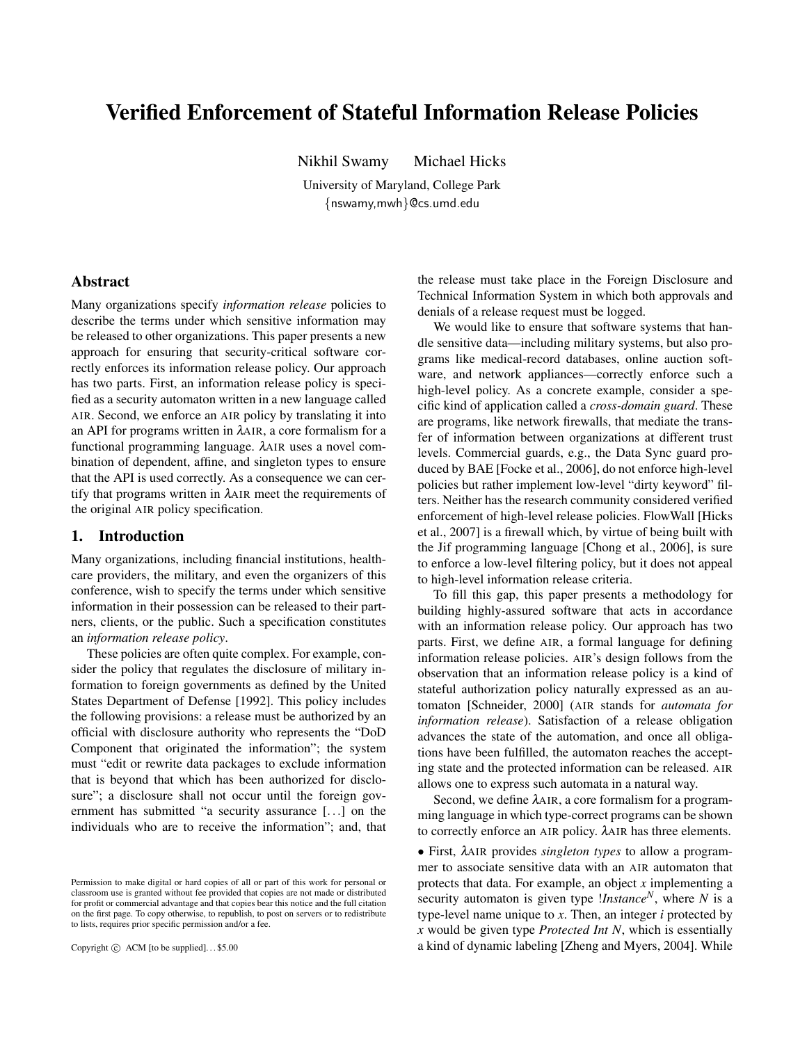# Verified Enforcement of Stateful Information Release Policies

Nikhil Swamy Michael Hicks

University of Maryland, College Park {nswamy,mwh}@cs.umd.edu

## Abstract

Many organizations specify *information release* policies to describe the terms under which sensitive information may be released to other organizations. This paper presents a new approach for ensuring that security-critical software correctly enforces its information release policy. Our approach has two parts. First, an information release policy is specified as a security automaton written in a new language called AIR. Second, we enforce an AIR policy by translating it into an API for programs written in λAIR, a core formalism for a functional programming language. λAIR uses a novel combination of dependent, affine, and singleton types to ensure that the API is used correctly. As a consequence we can certify that programs written in λAIR meet the requirements of the original AIR policy specification.

# 1. Introduction

Many organizations, including financial institutions, healthcare providers, the military, and even the organizers of this conference, wish to specify the terms under which sensitive information in their possession can be released to their partners, clients, or the public. Such a specification constitutes an *information release policy*.

These policies are often quite complex. For example, consider the policy that regulates the disclosure of military information to foreign governments as defined by the United States Department of Defense [1992]. This policy includes the following provisions: a release must be authorized by an official with disclosure authority who represents the "DoD Component that originated the information"; the system must "edit or rewrite data packages to exclude information that is beyond that which has been authorized for disclosure"; a disclosure shall not occur until the foreign government has submitted "a security assurance [...] on the individuals who are to receive the information"; and, that

Copyright  $\odot$  ACM [to be supplied]...\$5.00

the release must take place in the Foreign Disclosure and Technical Information System in which both approvals and denials of a release request must be logged.

We would like to ensure that software systems that handle sensitive data—including military systems, but also programs like medical-record databases, online auction software, and network appliances—correctly enforce such a high-level policy. As a concrete example, consider a specific kind of application called a *cross-domain guard*. These are programs, like network firewalls, that mediate the transfer of information between organizations at different trust levels. Commercial guards, e.g., the Data Sync guard produced by BAE [Focke et al., 2006], do not enforce high-level policies but rather implement low-level "dirty keyword" filters. Neither has the research community considered verified enforcement of high-level release policies. FlowWall [Hicks et al., 2007] is a firewall which, by virtue of being built with the Jif programming language [Chong et al., 2006], is sure to enforce a low-level filtering policy, but it does not appeal to high-level information release criteria.

To fill this gap, this paper presents a methodology for building highly-assured software that acts in accordance with an information release policy. Our approach has two parts. First, we define AIR, a formal language for defining information release policies. AIR's design follows from the observation that an information release policy is a kind of stateful authorization policy naturally expressed as an automaton [Schneider, 2000] (AIR stands for *automata for information release*). Satisfaction of a release obligation advances the state of the automation, and once all obligations have been fulfilled, the automaton reaches the accepting state and the protected information can be released. AIR allows one to express such automata in a natural way.

Second, we define λAIR, a core formalism for a programming language in which type-correct programs can be shown to correctly enforce an AIR policy. λAIR has three elements.

• First, λAIR provides *singleton types* to allow a programmer to associate sensitive data with an AIR automaton that protects that data. For example, an object *x* implementing a security automaton is given type !*Instance<sup>N</sup>* , where *N* is a type-level name unique to *x*. Then, an integer *i* protected by *x* would be given type *Protected Int N*, which is essentially a kind of dynamic labeling [Zheng and Myers, 2004]. While

Permission to make digital or hard copies of all or part of this work for personal or classroom use is granted without fee provided that copies are not made or distributed for profit or commercial advantage and that copies bear this notice and the full citation on the first page. To copy otherwise, to republish, to post on servers or to redistribute to lists, requires prior specific permission and/or a fee.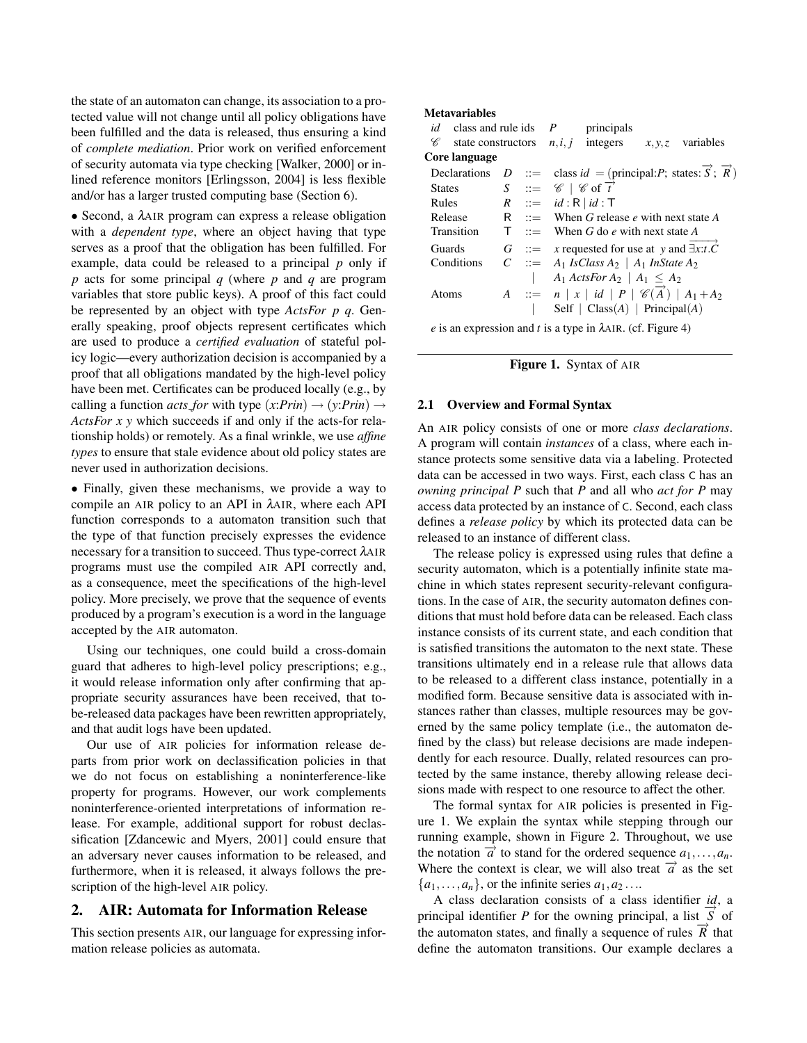the state of an automaton can change, its association to a protected value will not change until all policy obligations have been fulfilled and the data is released, thus ensuring a kind of *complete mediation*. Prior work on verified enforcement of security automata via type checking [Walker, 2000] or inlined reference monitors [Erlingsson, 2004] is less flexible and/or has a larger trusted computing base (Section 6).

• Second, a λAIR program can express a release obligation with a *dependent type*, where an object having that type serves as a proof that the obligation has been fulfilled. For example, data could be released to a principal *p* only if *p* acts for some principal *q* (where *p* and *q* are program variables that store public keys). A proof of this fact could be represented by an object with type *ActsFor p q*. Generally speaking, proof objects represent certificates which are used to produce a *certified evaluation* of stateful policy logic—every authorization decision is accompanied by a proof that all obligations mandated by the high-level policy have been met. Certificates can be produced locally (e.g., by calling a function *acts\_for* with type  $(x:Prin) \rightarrow (y:Prin) \rightarrow$ *ActsFor x y* which succeeds if and only if the acts-for relationship holds) or remotely. As a final wrinkle, we use *affine types* to ensure that stale evidence about old policy states are never used in authorization decisions.

• Finally, given these mechanisms, we provide a way to compile an AIR policy to an API in λAIR, where each API function corresponds to a automaton transition such that the type of that function precisely expresses the evidence necessary for a transition to succeed. Thus type-correct λAIR programs must use the compiled AIR API correctly and, as a consequence, meet the specifications of the high-level policy. More precisely, we prove that the sequence of events produced by a program's execution is a word in the language accepted by the AIR automaton.

Using our techniques, one could build a cross-domain guard that adheres to high-level policy prescriptions; e.g., it would release information only after confirming that appropriate security assurances have been received, that tobe-released data packages have been rewritten appropriately, and that audit logs have been updated.

Our use of AIR policies for information release departs from prior work on declassification policies in that we do not focus on establishing a noninterference-like property for programs. However, our work complements noninterference-oriented interpretations of information release. For example, additional support for robust declassification [Zdancewic and Myers, 2001] could ensure that an adversary never causes information to be released, and furthermore, when it is released, it always follows the prescription of the high-level AIR policy.

#### 2. AIR: Automata for Information Release

This section presents AIR, our language for expressing information release policies as automata.

#### Metavariables

| <i>id</i> class and rule ids $P$  |  |  | principals                                                                            |                                                                                                   |
|-----------------------------------|--|--|---------------------------------------------------------------------------------------|---------------------------------------------------------------------------------------------------|
| C<br>state constructors $n, i, j$ |  |  | integers                                                                              | $x, y, z$ variables                                                                               |
| Core language                     |  |  |                                                                                       |                                                                                                   |
| Declarations                      |  |  |                                                                                       | D ::= class $id = (\text{principal:} P; \text{ states: } \overrightarrow{S}; \overrightarrow{R})$ |
| <b>States</b>                     |  |  | $S \cong \mathscr{C} \mid \mathscr{C}$ of $\overrightarrow{t}$                        |                                                                                                   |
| Rules                             |  |  | $R$ ::= $id:R   id:T$                                                                 |                                                                                                   |
| Release                           |  |  | R $\therefore$ When G release e with next state A                                     |                                                                                                   |
| Transition                        |  |  | $\mathsf{T}$ ::= When G do e with next state A                                        |                                                                                                   |
| Guards                            |  |  | $G$ ::= x requested for use at y and $\exists x : t.\dot{C}$                          |                                                                                                   |
| Conditions                        |  |  | $C$ ::= A <sub>1</sub> IsClass A <sub>2</sub>   A <sub>1</sub> InState A <sub>2</sub> |                                                                                                   |
|                                   |  |  | $A_1$ ActsFor $A_2 \mid A_1 \leq A_2$                                                 |                                                                                                   |
| Atoms                             |  |  | A ::= $n   x   id   P   \mathcal{C}(\vec{A})   A_1 + A_2$                             |                                                                                                   |
|                                   |  |  | Self $\mid$ Class(A) $\mid$ Principal(A)                                              |                                                                                                   |

*e* is an expression and *t* is a type in λAIR. (cf. Figure 4)

```
Figure 1. Syntax of AIR
```
#### 2.1 Overview and Formal Syntax

An AIR policy consists of one or more *class declarations*. A program will contain *instances* of a class, where each instance protects some sensitive data via a labeling. Protected data can be accessed in two ways. First, each class C has an *owning principal P* such that *P* and all who *act for P* may access data protected by an instance of C. Second, each class defines a *release policy* by which its protected data can be released to an instance of different class.

The release policy is expressed using rules that define a security automaton, which is a potentially infinite state machine in which states represent security-relevant configurations. In the case of AIR, the security automaton defines conditions that must hold before data can be released. Each class instance consists of its current state, and each condition that is satisfied transitions the automaton to the next state. These transitions ultimately end in a release rule that allows data to be released to a different class instance, potentially in a modified form. Because sensitive data is associated with instances rather than classes, multiple resources may be governed by the same policy template (i.e., the automaton defined by the class) but release decisions are made independently for each resource. Dually, related resources can protected by the same instance, thereby allowing release decisions made with respect to one resource to affect the other.

The formal syntax for AIR policies is presented in Figure 1. We explain the syntax while stepping through our running example, shown in Figure 2. Throughout, we use the notation  $\vec{a}$  to stand for the ordered sequence  $a_1, \ldots, a_n$ . Where the context is clear, we will also treat  $\vec{a}$  as the set  $\{a_1, \ldots, a_n\}$ , or the infinite series  $a_1, a_2 \ldots$ 

A class declaration consists of a class identifier *id*, a principal identifier *P* for the owning principal, a list  $\overrightarrow{S}$  of the automaton states, and finally a sequence of rules  $\overrightarrow{R}$  that define the automaton transitions. Our example declares a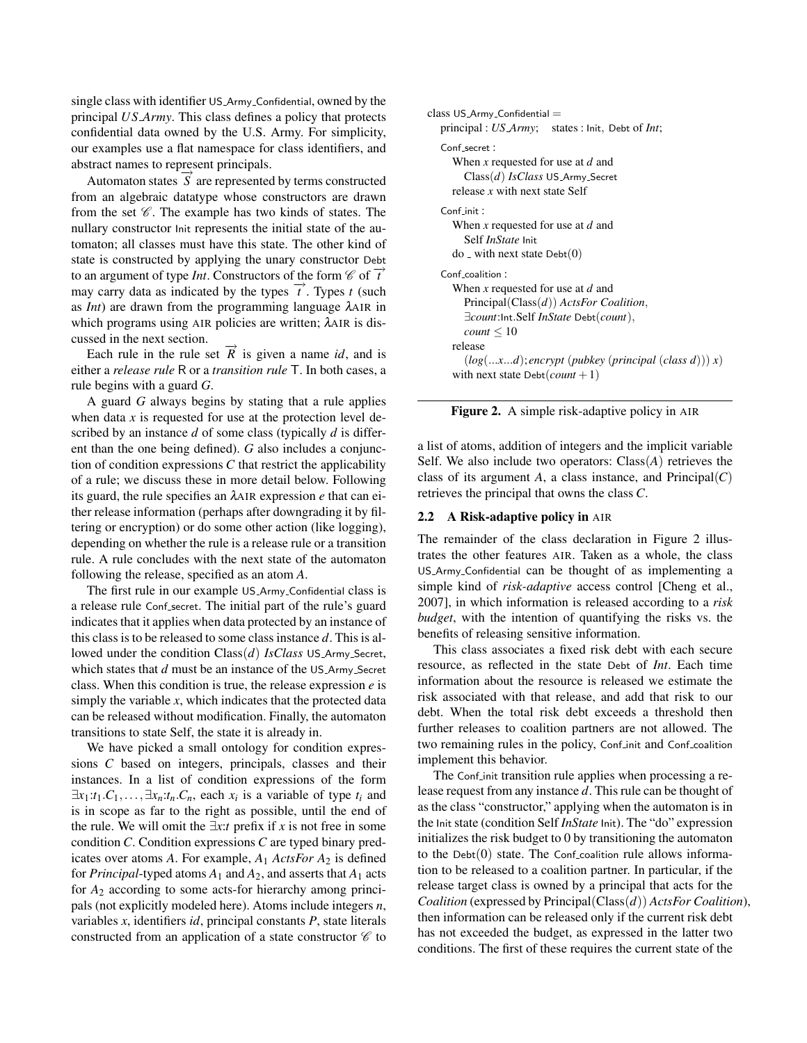single class with identifier US Army Confidential, owned by the principal *US Army*. This class defines a policy that protects confidential data owned by the U.S. Army. For simplicity, our examples use a flat namespace for class identifiers, and abstract names to represent principals.

Automaton states  $\overrightarrow{S}$  are represented by terms constructed from an algebraic datatype whose constructors are drawn from the set  $\mathscr C$ . The example has two kinds of states. The nullary constructor Init represents the initial state of the automaton; all classes must have this state. The other kind of state is constructed by applying the unary constructor Debt to an argument of type *Int*. Constructors of the form  $\mathcal{C}$  of  $\overrightarrow{t}$ may carry data as indicated by the types  $\vec{t}$ . Types *t* (such as *Int*) are drawn from the programming language λAIR in which programs using AIR policies are written; λAIR is discussed in the next section.

Each rule in the rule set  $\vec{R}$  is given a name *id*, and is either a *release rule* R or a *transition rule* T. In both cases, a rule begins with a guard *G*.

A guard *G* always begins by stating that a rule applies when data  $x$  is requested for use at the protection level described by an instance *d* of some class (typically *d* is different than the one being defined). *G* also includes a conjunction of condition expressions *C* that restrict the applicability of a rule; we discuss these in more detail below. Following its guard, the rule specifies an λAIR expression *e* that can either release information (perhaps after downgrading it by filtering or encryption) or do some other action (like logging), depending on whether the rule is a release rule or a transition rule. A rule concludes with the next state of the automaton following the release, specified as an atom *A*.

The first rule in our example US\_Army\_Confidential class is a release rule Conf secret. The initial part of the rule's guard indicates that it applies when data protected by an instance of this class is to be released to some class instance *d*. This is allowed under the condition Class(*d*) *IsClass* US\_Army\_Secret, which states that *d* must be an instance of the US\_Army\_Secret class. When this condition is true, the release expression *e* is simply the variable *x*, which indicates that the protected data can be released without modification. Finally, the automaton transitions to state Self, the state it is already in.

We have picked a small ontology for condition expressions *C* based on integers, principals, classes and their instances. In a list of condition expressions of the form  $\exists x_1 : t_1 \ldots, \exists x_n : t_n \ldots C_n$ , each  $x_i$  is a variable of type  $t_i$  and is in scope as far to the right as possible, until the end of the rule. We will omit the  $\exists x : t$  prefix if *x* is not free in some condition *C*. Condition expressions *C* are typed binary predicates over atoms *A*. For example, *A*<sup>1</sup> *ActsFor A*<sup>2</sup> is defined for *Principal*-typed atoms  $A_1$  and  $A_2$ , and asserts that  $A_1$  acts for *A*<sup>2</sup> according to some acts-for hierarchy among principals (not explicitly modeled here). Atoms include integers *n*, variables *x*, identifiers *id*, principal constants *P*, state literals constructed from an application of a state constructor  $\mathscr C$  to

```
class US_Army_Confidential =principal : US Army; states : Init, Debt of Int;
Conf secret :
   When x requested for use at d and
     Class(d) IsClass US Army Secret
   release x with next state Self
 Cont init \cdotWhen x requested for use at d and
     Self InState Init
   do _ with next state Debt(0)Conf_coalition:
   When x requested for use at d and
     Principal(Class(d)) ActsFor Coalition,
      ∃count:Int.Self InState Debt(count),
     count \leq 10release
      (log(...x...d); encrypt (pubkey (principal (class d))) x)
   with next state Debt(count + 1)
```
Figure 2. A simple risk-adaptive policy in AIR

a list of atoms, addition of integers and the implicit variable Self. We also include two operators: Class(*A*) retrieves the class of its argument *A*, a class instance, and  $Principal(C)$ retrieves the principal that owns the class *C*.

#### 2.2 A Risk-adaptive policy in AIR

The remainder of the class declaration in Figure 2 illustrates the other features AIR. Taken as a whole, the class US Army Confidential can be thought of as implementing a simple kind of *risk-adaptive* access control [Cheng et al., 2007], in which information is released according to a *risk budget*, with the intention of quantifying the risks vs. the benefits of releasing sensitive information.

This class associates a fixed risk debt with each secure resource, as reflected in the state Debt of *Int*. Each time information about the resource is released we estimate the risk associated with that release, and add that risk to our debt. When the total risk debt exceeds a threshold then further releases to coalition partners are not allowed. The two remaining rules in the policy, Conf init and Conf coalition implement this behavior.

The Confinit transition rule applies when processing a release request from any instance *d*. This rule can be thought of as the class "constructor," applying when the automaton is in the Init state (condition Self *InState* Init). The "do" expression initializes the risk budget to 0 by transitioning the automaton to the  $Debt(0)$  state. The Conf-coalition rule allows information to be released to a coalition partner. In particular, if the release target class is owned by a principal that acts for the *Coalition* (expressed by Principal(Class(*d*)) *ActsFor Coalition*), then information can be released only if the current risk debt has not exceeded the budget, as expressed in the latter two conditions. The first of these requires the current state of the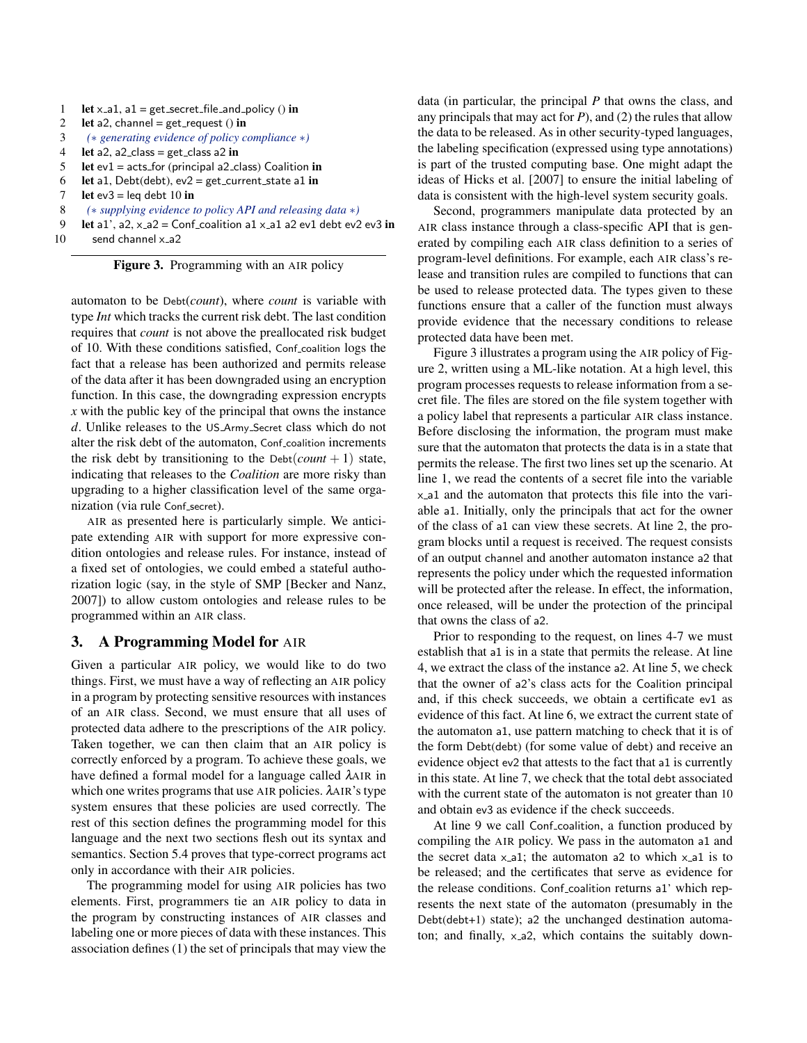- 1 let  $x$  a1, a1 = get secret file and policy () in
- 2 let a2, channel =  $get\_request()$  in
- 3 *(*∗ *generating evidence of policy compliance* ∗*)*
- 4 let a2, a2\_class = get\_class a2 in
- 5 let  $ev1 = acts_for$  (principal a2\_class) Coalition in
- 6 let a1, Debt(debt),  $ev2 = get\_current\_state$  a1 in
- 7 let ev $3 = \text{leg debt } 10$  in
- 8 *(*∗ *supplying evidence to policy API and releasing data* ∗*)*
- 9 let a1', a2,  $x$  a2 = Conf coalition a1  $x$  a1 a2 ev1 debt ev2 ev3 in
- $10$  send channel  $x_a$ 2

Figure 3. Programming with an AIR policy

automaton to be Debt(*count*), where *count* is variable with type *Int* which tracks the current risk debt. The last condition requires that *count* is not above the preallocated risk budget of 10. With these conditions satisfied, Conf coalition logs the fact that a release has been authorized and permits release of the data after it has been downgraded using an encryption function. In this case, the downgrading expression encrypts *x* with the public key of the principal that owns the instance *d*. Unlike releases to the US Army Secret class which do not alter the risk debt of the automaton, Conf-coalition increments the risk debt by transitioning to the  $Debt$ (*count* + 1) state, indicating that releases to the *Coalition* are more risky than upgrading to a higher classification level of the same organization (via rule Conf secret).

AIR as presented here is particularly simple. We anticipate extending AIR with support for more expressive condition ontologies and release rules. For instance, instead of a fixed set of ontologies, we could embed a stateful authorization logic (say, in the style of SMP [Becker and Nanz, 2007]) to allow custom ontologies and release rules to be programmed within an AIR class.

## 3. A Programming Model for AIR

Given a particular AIR policy, we would like to do two things. First, we must have a way of reflecting an AIR policy in a program by protecting sensitive resources with instances of an AIR class. Second, we must ensure that all uses of protected data adhere to the prescriptions of the AIR policy. Taken together, we can then claim that an AIR policy is correctly enforced by a program. To achieve these goals, we have defined a formal model for a language called λAIR in which one writes programs that use AIR policies. λAIR's type system ensures that these policies are used correctly. The rest of this section defines the programming model for this language and the next two sections flesh out its syntax and semantics. Section 5.4 proves that type-correct programs act only in accordance with their AIR policies.

The programming model for using AIR policies has two elements. First, programmers tie an AIR policy to data in the program by constructing instances of AIR classes and labeling one or more pieces of data with these instances. This association defines (1) the set of principals that may view the

data (in particular, the principal *P* that owns the class, and any principals that may act for *P*), and (2) the rules that allow the data to be released. As in other security-typed languages, the labeling specification (expressed using type annotations) is part of the trusted computing base. One might adapt the ideas of Hicks et al. [2007] to ensure the initial labeling of data is consistent with the high-level system security goals.

Second, programmers manipulate data protected by an AIR class instance through a class-specific API that is generated by compiling each AIR class definition to a series of program-level definitions. For example, each AIR class's release and transition rules are compiled to functions that can be used to release protected data. The types given to these functions ensure that a caller of the function must always provide evidence that the necessary conditions to release protected data have been met.

Figure 3 illustrates a program using the AIR policy of Figure 2, written using a ML-like notation. At a high level, this program processes requests to release information from a secret file. The files are stored on the file system together with a policy label that represents a particular AIR class instance. Before disclosing the information, the program must make sure that the automaton that protects the data is in a state that permits the release. The first two lines set up the scenario. At line 1, we read the contents of a secret file into the variable x a1 and the automaton that protects this file into the variable a1. Initially, only the principals that act for the owner of the class of a1 can view these secrets. At line 2, the program blocks until a request is received. The request consists of an output channel and another automaton instance a2 that represents the policy under which the requested information will be protected after the release. In effect, the information, once released, will be under the protection of the principal that owns the class of a2.

Prior to responding to the request, on lines 4-7 we must establish that a1 is in a state that permits the release. At line 4, we extract the class of the instance a2. At line 5, we check that the owner of a2's class acts for the Coalition principal and, if this check succeeds, we obtain a certificate ev1 as evidence of this fact. At line 6, we extract the current state of the automaton a1, use pattern matching to check that it is of the form Debt(debt) (for some value of debt) and receive an evidence object ev2 that attests to the fact that a1 is currently in this state. At line 7, we check that the total debt associated with the current state of the automaton is not greater than 10 and obtain ev3 as evidence if the check succeeds.

At line 9 we call Conf-coalition, a function produced by compiling the AIR policy. We pass in the automaton a1 and the secret data  $x$ -a1; the automaton a2 to which  $x$ -a1 is to be released; and the certificates that serve as evidence for the release conditions. Conf-coalition returns a1' which represents the next state of the automaton (presumably in the Debt(debt+1) state); a2 the unchanged destination automaton; and finally,  $x_a$ 2, which contains the suitably down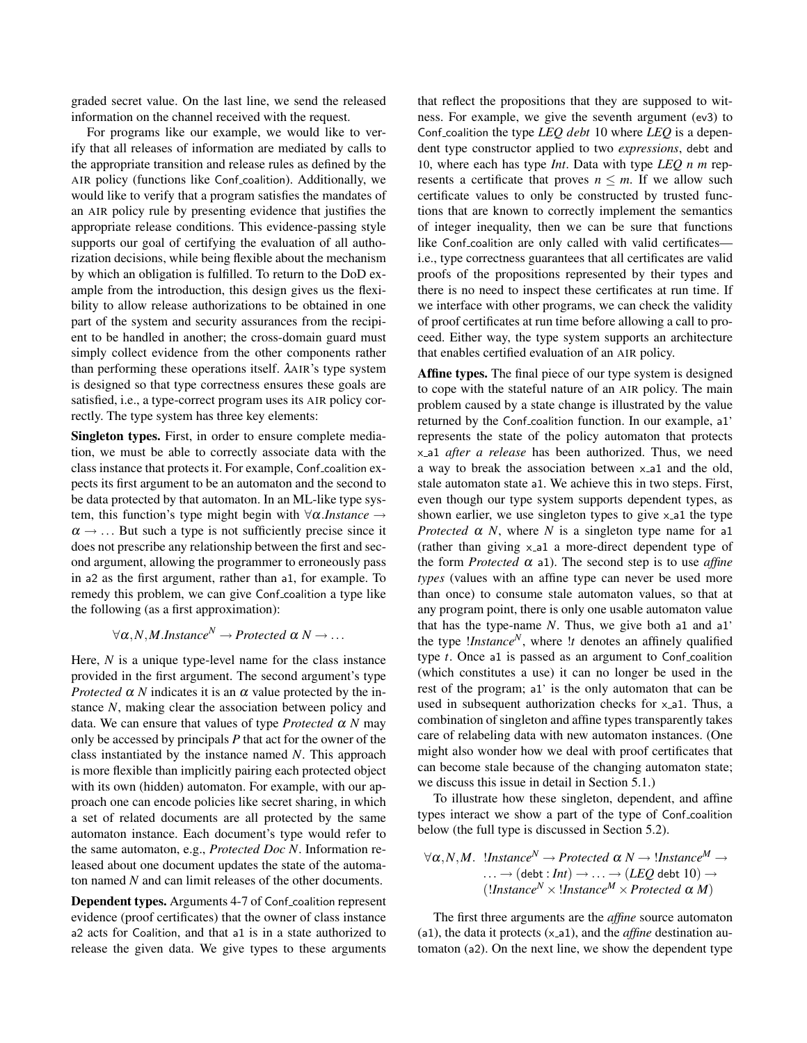graded secret value. On the last line, we send the released information on the channel received with the request.

For programs like our example, we would like to verify that all releases of information are mediated by calls to the appropriate transition and release rules as defined by the AIR policy (functions like Conf coalition). Additionally, we would like to verify that a program satisfies the mandates of an AIR policy rule by presenting evidence that justifies the appropriate release conditions. This evidence-passing style supports our goal of certifying the evaluation of all authorization decisions, while being flexible about the mechanism by which an obligation is fulfilled. To return to the DoD example from the introduction, this design gives us the flexibility to allow release authorizations to be obtained in one part of the system and security assurances from the recipient to be handled in another; the cross-domain guard must simply collect evidence from the other components rather than performing these operations itself. λAIR's type system is designed so that type correctness ensures these goals are satisfied, i.e., a type-correct program uses its AIR policy correctly. The type system has three key elements:

Singleton types. First, in order to ensure complete mediation, we must be able to correctly associate data with the class instance that protects it. For example, Conf coalition expects its first argument to be an automaton and the second to be data protected by that automaton. In an ML-like type system, this function's type might begin with ∀α.*Instance* →  $\alpha \rightarrow \dots$  But such a type is not sufficiently precise since it does not prescribe any relationship between the first and second argument, allowing the programmer to erroneously pass in a2 as the first argument, rather than a1, for example. To remedy this problem, we can give Conf coalition a type like the following (as a first approximation):

# $\forall \alpha, N, M.$ *Instance*<sup>*N*</sup>  $\rightarrow$  *Protected*  $\alpha$  *N*  $\rightarrow$  ...

Here, *N* is a unique type-level name for the class instance provided in the first argument. The second argument's type *Protected*  $\alpha$  *N* indicates it is an  $\alpha$  value protected by the instance *N*, making clear the association between policy and data. We can ensure that values of type *Protected*  $\alpha$  *N* may only be accessed by principals *P* that act for the owner of the class instantiated by the instance named *N*. This approach is more flexible than implicitly pairing each protected object with its own (hidden) automaton. For example, with our approach one can encode policies like secret sharing, in which a set of related documents are all protected by the same automaton instance. Each document's type would refer to the same automaton, e.g., *Protected Doc N*. Information released about one document updates the state of the automaton named *N* and can limit releases of the other documents.

Dependent types. Arguments 4-7 of Conf-coalition represent evidence (proof certificates) that the owner of class instance a2 acts for Coalition, and that a1 is in a state authorized to release the given data. We give types to these arguments that reflect the propositions that they are supposed to witness. For example, we give the seventh argument (ev3) to Conf coalition the type *LEQ debt* 10 where *LEQ* is a dependent type constructor applied to two *expressions*, debt and 10, where each has type *Int*. Data with type *LEQ n m* represents a certificate that proves  $n \leq m$ . If we allow such certificate values to only be constructed by trusted functions that are known to correctly implement the semantics of integer inequality, then we can be sure that functions like Conf coalition are only called with valid certificates i.e., type correctness guarantees that all certificates are valid proofs of the propositions represented by their types and there is no need to inspect these certificates at run time. If we interface with other programs, we can check the validity of proof certificates at run time before allowing a call to proceed. Either way, the type system supports an architecture that enables certified evaluation of an AIR policy.

Affine types. The final piece of our type system is designed to cope with the stateful nature of an AIR policy. The main problem caused by a state change is illustrated by the value returned by the Conf<sub>-coalition</sub> function. In our example, a1' represents the state of the policy automaton that protects x a1 *after a release* has been authorized. Thus, we need a way to break the association between x a1 and the old, stale automaton state a1. We achieve this in two steps. First, even though our type system supports dependent types, as shown earlier, we use singleton types to give  $x$  all the type *Protected*  $\alpha$  *N*, where *N* is a singleton type name for a1 (rather than giving x<sub>-a</sub>1 a more-direct dependent type of the form *Protected*  $\alpha$  a1). The second step is to use *affine types* (values with an affine type can never be used more than once) to consume stale automaton values, so that at any program point, there is only one usable automaton value that has the type-name *N*. Thus, we give both a1 and a1' the type !*Instance<sup>N</sup>* , where !*t* denotes an affinely qualified type *t*. Once a1 is passed as an argument to Conf-coalition (which constitutes a use) it can no longer be used in the rest of the program; a1' is the only automaton that can be used in subsequent authorization checks for  $x$  and Thus, a combination of singleton and affine types transparently takes care of relabeling data with new automaton instances. (One might also wonder how we deal with proof certificates that can become stale because of the changing automaton state; we discuss this issue in detail in Section 5.1.)

To illustrate how these singleton, dependent, and affine types interact we show a part of the type of Conf coalition below (the full type is discussed in Section 5.2).

$$
\forall \alpha, N, M. \ \text{IInstance}^N \to \text{protected } \alpha \, N \to \text{IInstance}^M \to \cdots \to (\text{debt}: Int) \to \cdots \to (LEQ \text{ debt } 10) \to \text{(Iinstance}^N \times \text{IInstance}^M \times \text{protected } \alpha \, M)
$$

The first three arguments are the *affine* source automaton (a1), the data it protects (x<sub>-a1</sub>), and the *affine* destination automaton (a2). On the next line, we show the dependent type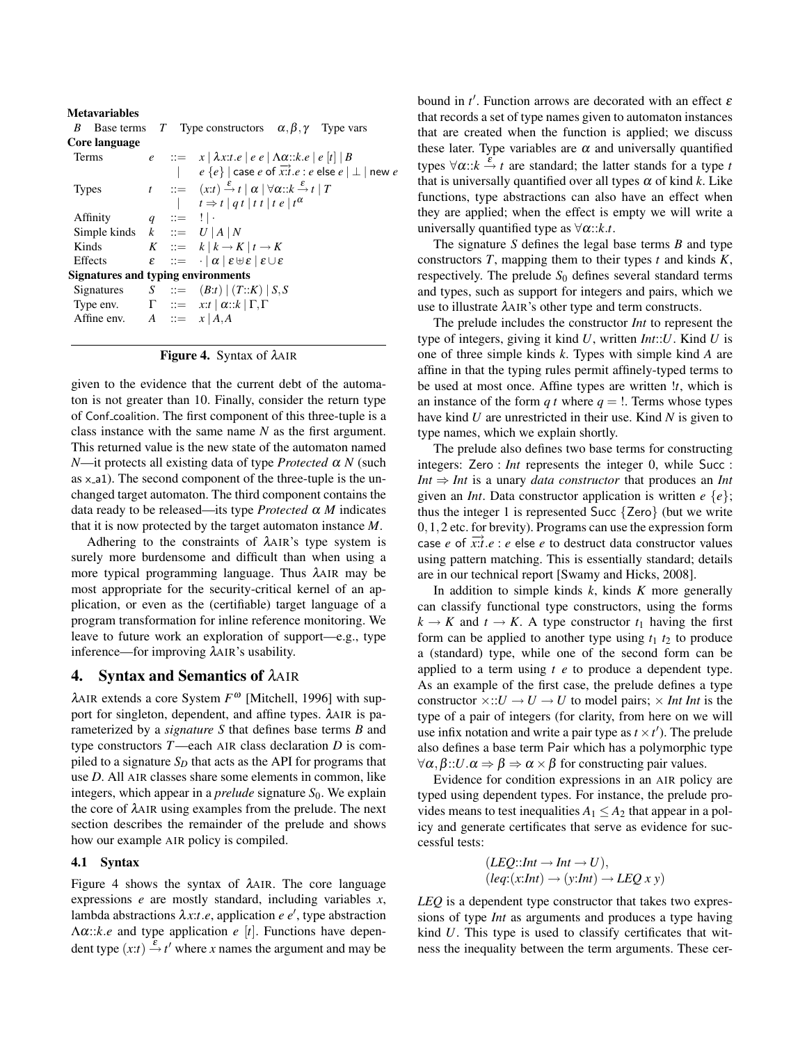| <b>Metavariables</b>               |  |                             |                                                                                                                                        |  |  |  |  |
|------------------------------------|--|-----------------------------|----------------------------------------------------------------------------------------------------------------------------------------|--|--|--|--|
| B                                  |  |                             | Base terms T Type constructors $\alpha, \beta, \gamma$ Type vars                                                                       |  |  |  |  |
| Core language                      |  |                             |                                                                                                                                        |  |  |  |  |
| Terms                              |  |                             | $e$ := $x   \lambda x : t.e   e e   \Lambda \alpha : k.e   e   t   B$                                                                  |  |  |  |  |
|                                    |  |                             | $e\{e\}$   case e of $\overrightarrow{x}$ : e else $e \perp \perp$   new e                                                             |  |  |  |  |
| <b>Types</b>                       |  |                             | $t$ ::= $(x:t) \stackrel{\varepsilon}{\rightarrow} t \mid \alpha \mid \forall \alpha : k \stackrel{\varepsilon}{\rightarrow} t \mid T$ |  |  |  |  |
|                                    |  |                             | $t \Rightarrow t \mid qt \mid tt \mid t \mid t \mid t^{\alpha}$                                                                        |  |  |  |  |
| Affinity                           |  | $q \quad ::= \quad   \cdot$ |                                                                                                                                        |  |  |  |  |
| Simple kinds $k$ ::= $U   A   N$   |  |                             |                                                                                                                                        |  |  |  |  |
| Kinds                              |  |                             | $K$ ::= $k   k \rightarrow K   t \rightarrow K$                                                                                        |  |  |  |  |
| Effects                            |  |                             | $\varepsilon$ : $=$ $ \alpha  \varepsilon \oplus \varepsilon   \varepsilon \cup \varepsilon$                                           |  |  |  |  |
| Signatures and typing environments |  |                             |                                                                                                                                        |  |  |  |  |
|                                    |  |                             | Signatures $S ::= (B:t)   (T::K)   S,S$                                                                                                |  |  |  |  |
|                                    |  |                             | Type env. $\Gamma$ ::= $x:t   \alpha : k   \Gamma, \Gamma$                                                                             |  |  |  |  |
| Affine env. $A ::= x   A,A$        |  |                             |                                                                                                                                        |  |  |  |  |
|                                    |  |                             |                                                                                                                                        |  |  |  |  |

Figure 4. Syntax of λAIR

given to the evidence that the current debt of the automaton is not greater than 10. Finally, consider the return type of Conf coalition. The first component of this three-tuple is a class instance with the same name *N* as the first argument. This returned value is the new state of the automaton named *N*—it protects all existing data of type *Protected* α *N* (such as  $x$ -a1). The second component of the three-tuple is the unchanged target automaton. The third component contains the data ready to be released—its type *Protected* α *M* indicates that it is now protected by the target automaton instance *M*.

Adhering to the constraints of λAIR's type system is surely more burdensome and difficult than when using a more typical programming language. Thus λAIR may be most appropriate for the security-critical kernel of an application, or even as the (certifiable) target language of a program transformation for inline reference monitoring. We leave to future work an exploration of support—e.g., type inference—for improving λAIR's usability.

## 4. Syntax and Semantics of λAIR

λAIR extends a core System *F* <sup>ω</sup> [Mitchell, 1996] with support for singleton, dependent, and affine types. λAIR is parameterized by a *signature S* that defines base terms *B* and type constructors *T*—each AIR class declaration *D* is compiled to a signature  $S_D$  that acts as the API for programs that use *D*. All AIR classes share some elements in common, like integers, which appear in a *prelude* signature  $S_0$ . We explain the core of λAIR using examples from the prelude. The next section describes the remainder of the prelude and shows how our example AIR policy is compiled.

## 4.1 Syntax

Figure 4 shows the syntax of λAIR. The core language expressions *e* are mostly standard, including variables *x*, lambda abstractions  $\lambda x$ :*t*.*e*, application *e e'*, type abstraction Λα::*k*.*e* and type application *e* [*t*]. Functions have dependent type  $(x:t) \stackrel{\varepsilon}{\rightarrow} t'$  where *x* names the argument and may be

bound in  $t'$ . Function arrows are decorated with an effect  $\varepsilon$ that records a set of type names given to automaton instances that are created when the function is applied; we discuss these later. Type variables are  $\alpha$  and universally quantified types ∀α:: $k$  → *t* are standard; the latter stands for a type *t* that is universally quantified over all types  $\alpha$  of kind  $k$ . Like functions, type abstractions can also have an effect when they are applied; when the effect is empty we will write a universally quantified type as  $\forall \alpha$ :: $k.t.$ 

The signature *S* defines the legal base terms *B* and type constructors *T*, mapping them to their types *t* and kinds *K*, respectively. The prelude  $S_0$  defines several standard terms and types, such as support for integers and pairs, which we use to illustrate λAIR's other type and term constructs.

The prelude includes the constructor *Int* to represent the type of integers, giving it kind *U*, written *Int*::*U*. Kind *U* is one of three simple kinds *k*. Types with simple kind *A* are affine in that the typing rules permit affinely-typed terms to be used at most once. Affine types are written !*t*, which is an instance of the form  $q t$  where  $q = 1$ . Terms whose types have kind *U* are unrestricted in their use. Kind *N* is given to type names, which we explain shortly.

The prelude also defines two base terms for constructing integers: Zero : *Int* represents the integer 0, while Succ : *Int* ⇒ *Int* is a unary *data constructor* that produces an *Int* given an *Int*. Data constructor application is written *e* {*e*}; thus the integer 1 is represented Succ  $\{Zero\}$  (but we write 0,1,2 etc. for brevity). Programs can use the expression form case *e* of  $\overrightarrow{x}$ :*t*.*e* : *e* else *e* to destruct data constructor values using pattern matching. This is essentially standard; details are in our technical report [Swamy and Hicks, 2008].

In addition to simple kinds *k*, kinds *K* more generally can classify functional type constructors, using the forms  $k \rightarrow K$  and  $t \rightarrow K$ . A type constructor  $t_1$  having the first form can be applied to another type using  $t_1$   $t_2$  to produce a (standard) type, while one of the second form can be applied to a term using *t e* to produce a dependent type. As an example of the first case, the prelude defines a type constructor  $\times$ :: $U \rightarrow U \rightarrow U$  to model pairs;  $\times Int Int$  is the type of a pair of integers (for clarity, from here on we will use infix notation and write a pair type as  $t \times t'$ ). The prelude also defines a base term Pair which has a polymorphic type  $\forall \alpha, \beta::U \ldotp \alpha \Rightarrow \beta \Rightarrow \alpha \times \beta$  for constructing pair values.

Evidence for condition expressions in an AIR policy are typed using dependent types. For instance, the prelude provides means to test inequalities  $A_1 \leq A_2$  that appear in a policy and generate certificates that serve as evidence for successful tests:

$$
(LEQ::Int \rightarrow Int \rightarrow U),(leg:(x:Int) \rightarrow (y:Int) \rightarrow LEQ x y)
$$

*LEQ* is a dependent type constructor that takes two expressions of type *Int* as arguments and produces a type having kind *U*. This type is used to classify certificates that witness the inequality between the term arguments. These cer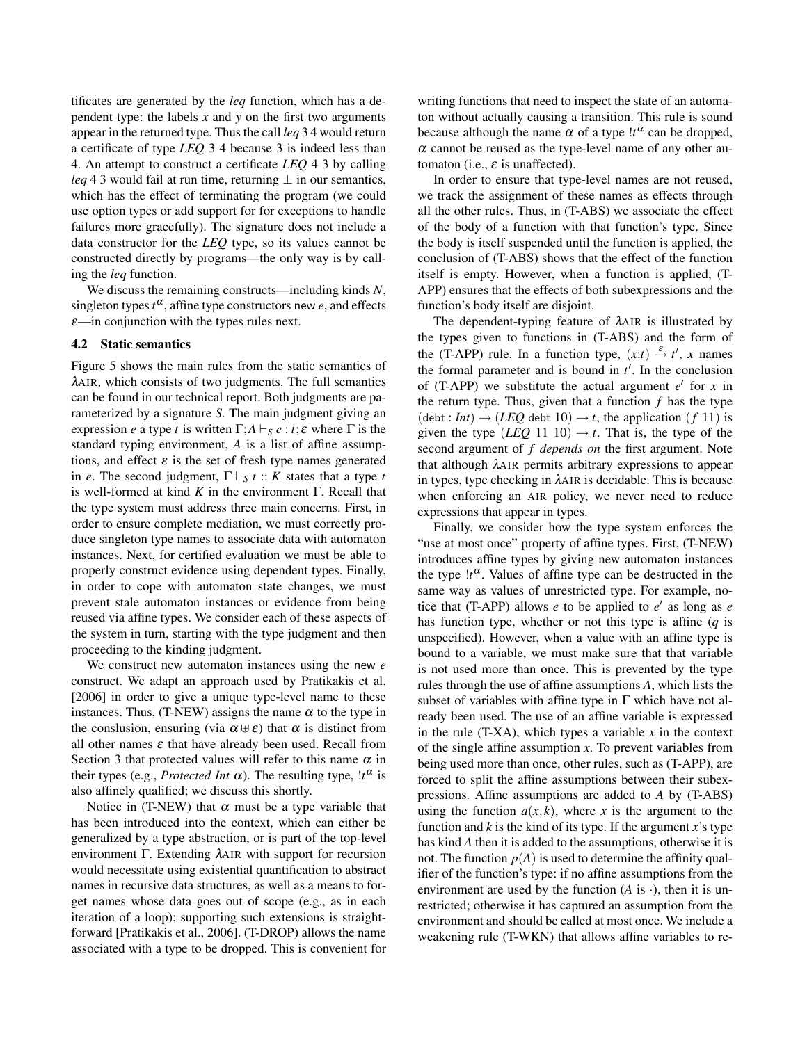tificates are generated by the *leq* function, which has a dependent type: the labels *x* and *y* on the first two arguments appear in the returned type. Thus the call *leq* 3 4 would return a certificate of type *LEQ* 3 4 because 3 is indeed less than 4. An attempt to construct a certificate *LEQ* 4 3 by calling *leq* 4 3 would fail at run time, returning  $\perp$  in our semantics, which has the effect of terminating the program (we could use option types or add support for for exceptions to handle failures more gracefully). The signature does not include a data constructor for the *LEQ* type, so its values cannot be constructed directly by programs—the only way is by calling the *leq* function.

We discuss the remaining constructs—including kinds *N*, singleton types  $t^{\alpha}$ , affine type constructors new *e*, and effects  $\varepsilon$ —in conjunction with the types rules next.

## 4.2 Static semantics

Figure 5 shows the main rules from the static semantics of λAIR, which consists of two judgments. The full semantics can be found in our technical report. Both judgments are parameterized by a signature *S*. The main judgment giving an expression *e* a type *t* is written  $\Gamma$ ;  $A \vdash_S e : t$ ;  $\varepsilon$  where  $\Gamma$  is the standard typing environment, *A* is a list of affine assumptions, and effect  $\varepsilon$  is the set of fresh type names generated in *e*. The second judgment,  $\Gamma \vdash_S t :: K$  states that a type *t* is well-formed at kind *K* in the environment Γ. Recall that the type system must address three main concerns. First, in order to ensure complete mediation, we must correctly produce singleton type names to associate data with automaton instances. Next, for certified evaluation we must be able to properly construct evidence using dependent types. Finally, in order to cope with automaton state changes, we must prevent stale automaton instances or evidence from being reused via affine types. We consider each of these aspects of the system in turn, starting with the type judgment and then proceeding to the kinding judgment.

We construct new automaton instances using the new *e* construct. We adapt an approach used by Pratikakis et al. [2006] in order to give a unique type-level name to these instances. Thus, (T-NEW) assigns the name  $\alpha$  to the type in the conslusion, ensuring (via  $\alpha \oplus \varepsilon$ ) that  $\alpha$  is distinct from all other names  $\varepsilon$  that have already been used. Recall from Section 3 that protected values will refer to this name  $\alpha$  in their types (e.g., *Protected Int*  $\alpha$ ). The resulting type,  $!t^{\alpha}$  is also affinely qualified; we discuss this shortly.

Notice in (T-NEW) that  $\alpha$  must be a type variable that has been introduced into the context, which can either be generalized by a type abstraction, or is part of the top-level environment Γ. Extending λAIR with support for recursion would necessitate using existential quantification to abstract names in recursive data structures, as well as a means to forget names whose data goes out of scope (e.g., as in each iteration of a loop); supporting such extensions is straightforward [Pratikakis et al., 2006]. (T-DROP) allows the name associated with a type to be dropped. This is convenient for

writing functions that need to inspect the state of an automaton without actually causing a transition. This rule is sound because although the name  $\alpha$  of a type  $!t^{\alpha}$  can be dropped,  $\alpha$  cannot be reused as the type-level name of any other automaton (i.e.,  $\varepsilon$  is unaffected).

In order to ensure that type-level names are not reused, we track the assignment of these names as effects through all the other rules. Thus, in (T-ABS) we associate the effect of the body of a function with that function's type. Since the body is itself suspended until the function is applied, the conclusion of (T-ABS) shows that the effect of the function itself is empty. However, when a function is applied, (T-APP) ensures that the effects of both subexpressions and the function's body itself are disjoint.

The dependent-typing feature of λAIR is illustrated by the types given to functions in (T-ABS) and the form of the (T-APP) rule. In a function type,  $(x:t) \stackrel{\varepsilon}{\rightarrow} t'$ , *x* names the formal parameter and is bound in  $t'$ . In the conclusion of (T-APP) we substitute the actual argument  $e'$  for  $x$  in the return type. Thus, given that a function  $f$  has the type  $(\text{debt}: Int) \rightarrow (LEQ \text{ debt } 10) \rightarrow t$ , the application  $(f 11)$  is given the type  $(LEQ 11 10) \rightarrow t$ . That is, the type of the second argument of *f depends on* the first argument. Note that although λAIR permits arbitrary expressions to appear in types, type checking in  $\lambda$ AIR is decidable. This is because when enforcing an AIR policy, we never need to reduce expressions that appear in types.

Finally, we consider how the type system enforces the "use at most once" property of affine types. First, (T-NEW) introduces affine types by giving new automaton instances the type  $lr^{\alpha}$ . Values of affine type can be destructed in the same way as values of unrestricted type. For example, notice that (T-APP) allows  $e$  to be applied to  $e'$  as long as  $e$ has function type, whether or not this type is affine (*q* is unspecified). However, when a value with an affine type is bound to a variable, we must make sure that that variable is not used more than once. This is prevented by the type rules through the use of affine assumptions *A*, which lists the subset of variables with affine type in  $\Gamma$  which have not already been used. The use of an affine variable is expressed in the rule  $(T-XA)$ , which types a variable  $x$  in the context of the single affine assumption *x*. To prevent variables from being used more than once, other rules, such as (T-APP), are forced to split the affine assumptions between their subexpressions. Affine assumptions are added to *A* by (T-ABS) using the function  $a(x, k)$ , where *x* is the argument to the function and *k* is the kind of its type. If the argument *x*'s type has kind *A* then it is added to the assumptions, otherwise it is not. The function  $p(A)$  is used to determine the affinity qualifier of the function's type: if no affine assumptions from the environment are used by the function  $(A \text{ is } \cdot)$ , then it is unrestricted; otherwise it has captured an assumption from the environment and should be called at most once. We include a weakening rule (T-WKN) that allows affine variables to re-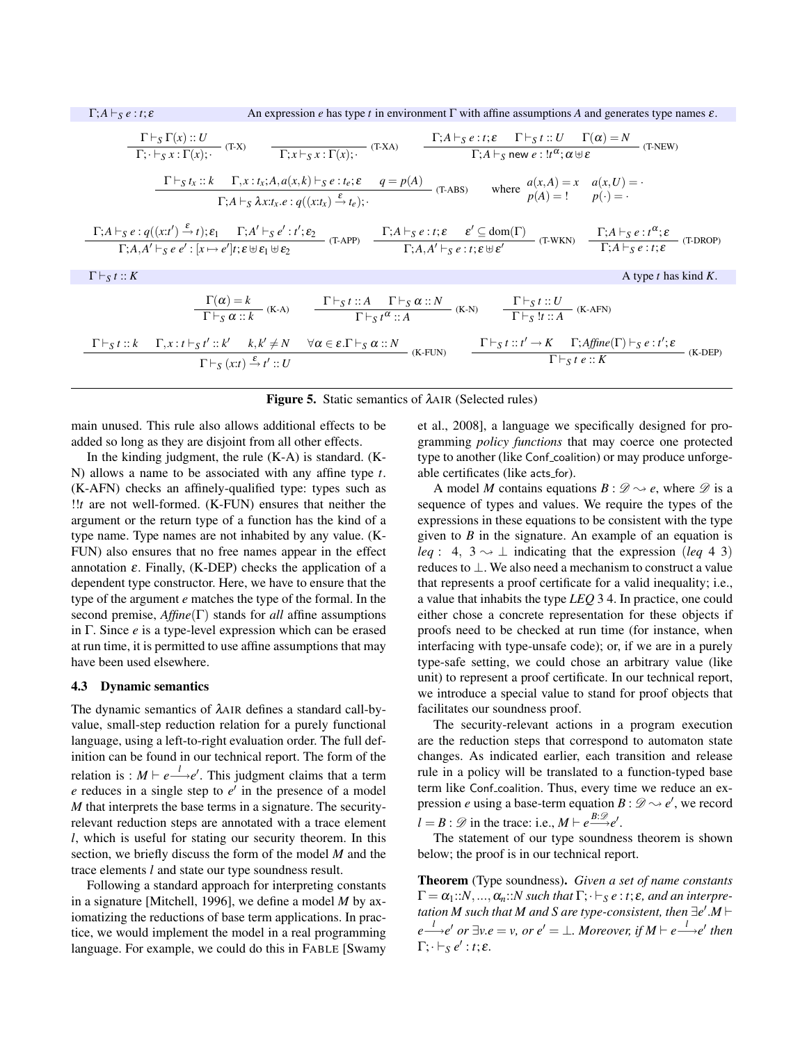

## Figure 5. Static semantics of λAIR (Selected rules)

main unused. This rule also allows additional effects to be added so long as they are disjoint from all other effects.

In the kinding judgment, the rule  $(K-A)$  is standard.  $(K-A)$ N) allows a name to be associated with any affine type *t*. (K-AFN) checks an affinely-qualified type: types such as !!*t* are not well-formed. (K-FUN) ensures that neither the argument or the return type of a function has the kind of a type name. Type names are not inhabited by any value. (K-FUN) also ensures that no free names appear in the effect annotation  $\varepsilon$ . Finally, (K-DEP) checks the application of a dependent type constructor. Here, we have to ensure that the type of the argument *e* matches the type of the formal. In the second premise, *Affine*(Γ) stands for *all* affine assumptions in Γ. Since *e* is a type-level expression which can be erased at run time, it is permitted to use affine assumptions that may have been used elsewhere.

#### 4.3 Dynamic semantics

The dynamic semantics of λAIR defines a standard call-byvalue, small-step reduction relation for a purely functional language, using a left-to-right evaluation order. The full definition can be found in our technical report. The form of the relation is :  $M \vdash e \stackrel{l}{\longrightarrow} e'$ . This judgment claims that a term  $e$  reduces in a single step to  $e'$  in the presence of a model *M* that interprets the base terms in a signature. The securityrelevant reduction steps are annotated with a trace element *l*, which is useful for stating our security theorem. In this section, we briefly discuss the form of the model *M* and the trace elements *l* and state our type soundness result.

Following a standard approach for interpreting constants in a signature [Mitchell, 1996], we define a model *M* by axiomatizing the reductions of base term applications. In practice, we would implement the model in a real programming language. For example, we could do this in FABLE [Swamy

et al., 2008], a language we specifically designed for programming *policy functions* that may coerce one protected type to another (like Conf coalition) or may produce unforgeable certificates (like acts\_for).

A model *M* contains equations  $B: \mathcal{D} \rightarrow e$ , where  $\mathcal{D}$  is a sequence of types and values. We require the types of the expressions in these equations to be consistent with the type given to *B* in the signature. An example of an equation is *leq* : 4,  $3 \rightarrow \perp$  indicating that the expression (*leq* 4 3) reduces to ⊥. We also need a mechanism to construct a value that represents a proof certificate for a valid inequality; i.e., a value that inhabits the type *LEQ* 3 4. In practice, one could either chose a concrete representation for these objects if proofs need to be checked at run time (for instance, when interfacing with type-unsafe code); or, if we are in a purely type-safe setting, we could chose an arbitrary value (like unit) to represent a proof certificate. In our technical report, we introduce a special value to stand for proof objects that facilitates our soundness proof.

The security-relevant actions in a program execution are the reduction steps that correspond to automaton state changes. As indicated earlier, each transition and release rule in a policy will be translated to a function-typed base term like Conf\_coalition. Thus, every time we reduce an expression *e* using a base-term equation  $B: \mathscr{D} \sim e'$ , we record  $l = B : \mathcal{D}$  in the trace: i.e.,  $M \vdash e \stackrel{B:\mathcal{D}}{\longrightarrow} e'$ .

The statement of our type soundness theorem is shown below; the proof is in our technical report.

Theorem (Type soundness). *Given a set of name constants*  $\Gamma = \alpha_1 : N, \ldots, \alpha_n : N$  such that  $\Gamma; \vdash_S e : t; \varepsilon$ , and an interpretation M such that M and S are type-consistent, then  $\exists e'.M \vdash$  $e \xrightarrow{l} e^l$  or  $\exists v.e = v$ , or  $e^l = \bot$ *. Moreover, if*  $M \vdash e \xrightarrow{l} e^l$  then  $\Gamma; \cdot \vdash_S e' : t; \varepsilon.$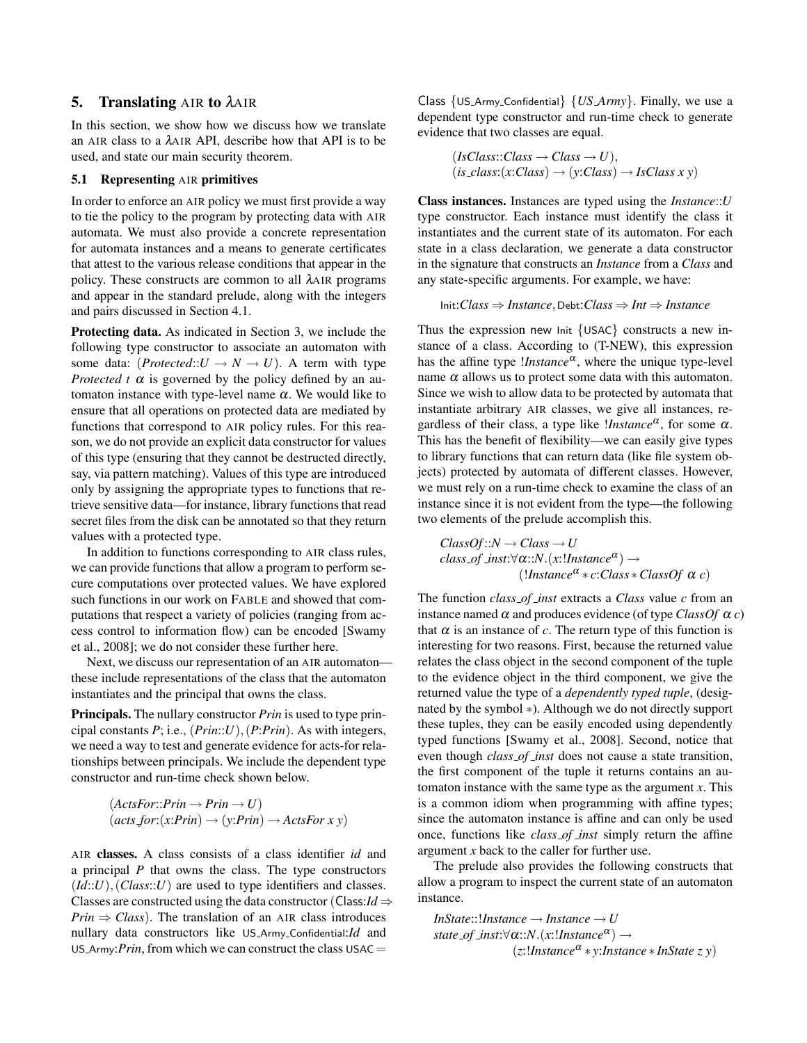# 5. Translating AIR to λAIR

In this section, we show how we discuss how we translate an AIR class to a λAIR API, describe how that API is to be used, and state our main security theorem.

### 5.1 Representing AIR primitives

In order to enforce an AIR policy we must first provide a way to tie the policy to the program by protecting data with AIR automata. We must also provide a concrete representation for automata instances and a means to generate certificates that attest to the various release conditions that appear in the policy. These constructs are common to all λAIR programs and appear in the standard prelude, along with the integers and pairs discussed in Section 4.1.

Protecting data. As indicated in Section 3, we include the following type constructor to associate an automaton with some data:  $(Protected::U \rightarrow N \rightarrow U)$ . A term with type *Protected t*  $\alpha$  is governed by the policy defined by an automaton instance with type-level name α. We would like to ensure that all operations on protected data are mediated by functions that correspond to AIR policy rules. For this reason, we do not provide an explicit data constructor for values of this type (ensuring that they cannot be destructed directly, say, via pattern matching). Values of this type are introduced only by assigning the appropriate types to functions that retrieve sensitive data—for instance, library functions that read secret files from the disk can be annotated so that they return values with a protected type.

In addition to functions corresponding to AIR class rules, we can provide functions that allow a program to perform secure computations over protected values. We have explored such functions in our work on FABLE and showed that computations that respect a variety of policies (ranging from access control to information flow) can be encoded [Swamy et al., 2008]; we do not consider these further here.

Next, we discuss our representation of an AIR automaton these include representations of the class that the automaton instantiates and the principal that owns the class.

Principals. The nullary constructor *Prin* is used to type principal constants *P*; i.e., (*Prin*::*U*),(*P*:*Prin*). As with integers, we need a way to test and generate evidence for acts-for relationships between principals. We include the dependent type constructor and run-time check shown below.

$$
(ActsFor::Prin \rightarrow Prin \rightarrow U)
$$

$$
(acts for:(x:Prin) \rightarrow (y:Prin) \rightarrow ActsFor x y)
$$

AIR classes. A class consists of a class identifier *id* and a principal *P* that owns the class. The type constructors  $(Id::U)$ ,  $Class::U)$  are used to type identifiers and classes. Classes are constructed using the data constructor (Class: $Id \Rightarrow$ *Prin*  $\Rightarrow$  *Class*). The translation of an AIR class introduces nullary data constructors like US Army Confidential:*Id* and US\_Army: $Prin$ , from which we can construct the class USAC =

Class {US Army Confidential} {*US Army*}. Finally, we use a dependent type constructor and run-time check to generate evidence that two classes are equal.

> $(IsClass::Class \rightarrow Class \rightarrow U),$  $(is\_class:(x:Class) \rightarrow (y:Class) \rightarrow IsClass x y)$

Class instances. Instances are typed using the *Instance*::*U* type constructor. Each instance must identify the class it instantiates and the current state of its automaton. For each state in a class declaration, we generate a data constructor in the signature that constructs an *Instance* from a *Class* and any state-specific arguments. For example, we have:

$$
Init: Class \Rightarrow instance, \text{Debt}: Class \Rightarrow Int \Rightarrow instance
$$

Thus the expression new Init  $\{USAC\}$  constructs a new instance of a class. According to (T-NEW), this expression has the affine type *!Instance*<sup>a</sup>, where the unique type-level name  $\alpha$  allows us to protect some data with this automaton. Since we wish to allow data to be protected by automata that instantiate arbitrary AIR classes, we give all instances, regardless of their class, a type like *!Instance<sup>α</sup>*, for some α. This has the benefit of flexibility—we can easily give types to library functions that can return data (like file system objects) protected by automata of different classes. However, we must rely on a run-time check to examine the class of an instance since it is not evident from the type—the following two elements of the prelude accomplish this.

 $ClassOf::N \rightarrow Class \rightarrow U$ *class of inst*:∀α::*N*.(*x*:!*Instance*<sup>α</sup> ) →  $($ *!Instance*<sup> $\alpha$ </sup>  $\ast$  *c:Class*  $\ast$  *ClassOf*  $\alpha$  *c*)

The function *class of inst* extracts a *Class* value *c* from an instance named  $\alpha$  and produces evidence (of type *ClassOf*  $\alpha$  *c*) that  $\alpha$  is an instance of  $c$ . The return type of this function is interesting for two reasons. First, because the returned value relates the class object in the second component of the tuple to the evidence object in the third component, we give the returned value the type of a *dependently typed tuple*, (designated by the symbol ∗). Although we do not directly support these tuples, they can be easily encoded using dependently typed functions [Swamy et al., 2008]. Second, notice that even though *class of inst* does not cause a state transition, the first component of the tuple it returns contains an automaton instance with the same type as the argument *x*. This is a common idiom when programming with affine types; since the automaton instance is affine and can only be used once, functions like *class of inst* simply return the affine argument *x* back to the caller for further use.

The prelude also provides the following constructs that allow a program to inspect the current state of an automaton instance.

*InState*::!*Instance* → *Instance* → *U state of inst*:∀α::*N*.(*x*:!*Instance*<sup>α</sup> ) → (*z*:!*Instance*<sup>α</sup> ∗ *y*:*Instance* ∗ *InState z y*)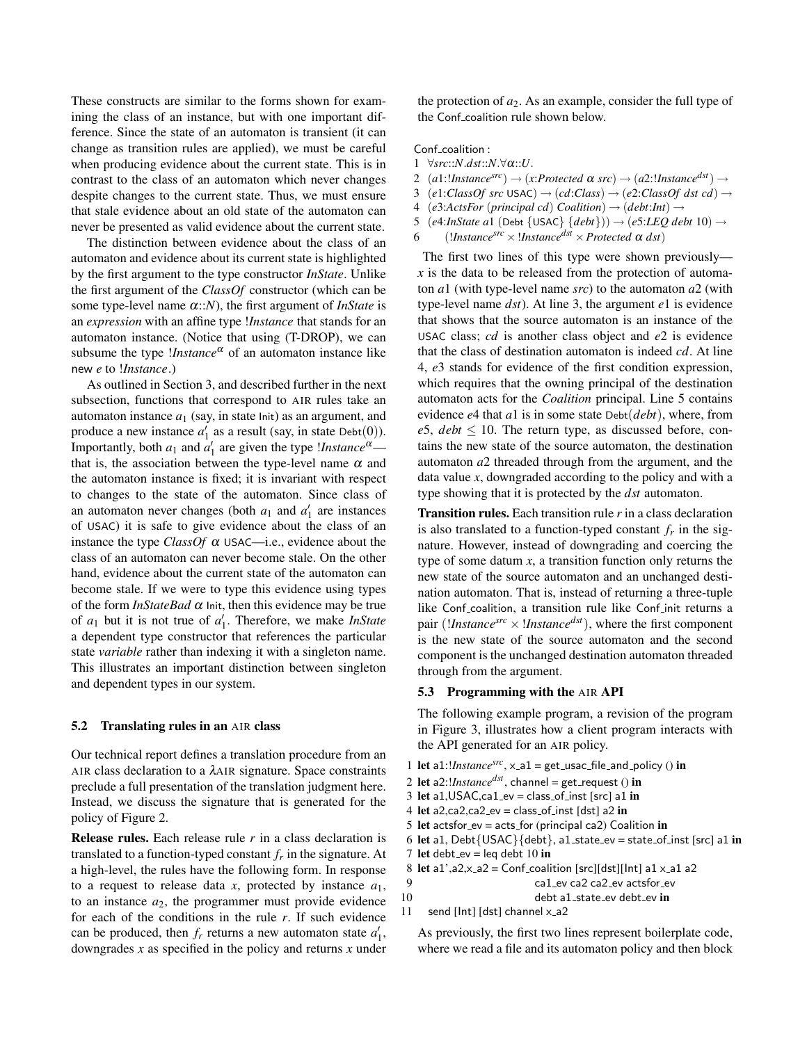These constructs are similar to the forms shown for examining the class of an instance, but with one important difference. Since the state of an automaton is transient (it can change as transition rules are applied), we must be careful when producing evidence about the current state. This is in contrast to the class of an automaton which never changes despite changes to the current state. Thus, we must ensure that stale evidence about an old state of the automaton can never be presented as valid evidence about the current state.

The distinction between evidence about the class of an automaton and evidence about its current state is highlighted by the first argument to the type constructor *InState*. Unlike the first argument of the *ClassOf* constructor (which can be some type-level name α::*N*), the first argument of *InState* is an *expression* with an affine type !*Instance* that stands for an automaton instance. (Notice that using (T-DROP), we can subsume the type *!Instance*<sup> $\alpha$ </sup> of an automaton instance like new *e* to !*Instance*.)

As outlined in Section 3, and described further in the next subsection, functions that correspond to AIR rules take an automaton instance  $a_1$  (say, in state lnit) as an argument, and produce a new instance  $a'_1$  as a result (say, in state Debt(0)). Importantly, both  $a_1$  and  $a'_1$  are given the type *!Instance*<sup> $\alpha$ </sup> that is, the association between the type-level name  $\alpha$  and the automaton instance is fixed; it is invariant with respect to changes to the state of the automaton. Since class of an automaton never changes (both  $a_1$  and  $a'_1$  are instances of USAC) it is safe to give evidence about the class of an instance the type *ClassOf*  $\alpha$  USAC—i.e., evidence about the class of an automaton can never become stale. On the other hand, evidence about the current state of the automaton can become stale. If we were to type this evidence using types of the form  $InStateBad \alpha$  Init, then this evidence may be true of  $a_1$  but it is not true of  $a'_1$ . Therefore, we make *InState* a dependent type constructor that references the particular state *variable* rather than indexing it with a singleton name. This illustrates an important distinction between singleton and dependent types in our system.

#### 5.2 Translating rules in an AIR class

Our technical report defines a translation procedure from an AIR class declaration to a λAIR signature. Space constraints preclude a full presentation of the translation judgment here. Instead, we discuss the signature that is generated for the policy of Figure 2.

Release rules. Each release rule *r* in a class declaration is translated to a function-typed constant *f<sup>r</sup>* in the signature. At a high-level, the rules have the following form. In response to a request to release data *x*, protected by instance *a*1, to an instance  $a_2$ , the programmer must provide evidence for each of the conditions in the rule *r*. If such evidence can be produced, then  $f_r$  returns a new automaton state  $a'_1$ , downgrades *x* as specified in the policy and returns *x* under the protection of *a*2. As an example, consider the full type of the Conf<sub>-coalition</sub> rule shown below.

Conf\_coalition :

- 1 ∀*src*::*N*.*dst*::*N*.∀α::*U*.
- 2  $(a1: \text{Instance}^{src}) \rightarrow (x:protected \alpha src) \rightarrow (a2: \text{Instance}^{dst}) \rightarrow$
- 3 (*e*1:*ClassOf src* USAC)  $\rightarrow$  (*cd*:*Class*)  $\rightarrow$  (*e2*:*ClassOf dst cd*)  $\rightarrow$
- 4 (*e*3:*ActsFor* (*principal cd*) *Coalition*) → (*debt*:*Int*) →
- 5 (*e*4:*InState a*1 (Debt {USAC} {*debt*})) → (*e*5:*LEQ debt* 10) →
- 6 (*!Instance<sup>src</sup>*  $\times$  *!Instance<sup>dst</sup>*  $\times$  *Protected*  $\alpha$  *dst*)

The first two lines of this type were shown previously *x* is the data to be released from the protection of automaton *a*1 (with type-level name *src*) to the automaton *a*2 (with type-level name *dst*). At line 3, the argument *e*1 is evidence that shows that the source automaton is an instance of the USAC class; *cd* is another class object and *e*2 is evidence that the class of destination automaton is indeed *cd*. At line 4, *e*3 stands for evidence of the first condition expression, which requires that the owning principal of the destination automaton acts for the *Coalition* principal. Line 5 contains evidence *e*4 that *a*1 is in some state Debt(*debt*), where, from  $e5$ ,  $debt \leq 10$ . The return type, as discussed before, contains the new state of the source automaton, the destination automaton *a*2 threaded through from the argument, and the data value *x*, downgraded according to the policy and with a type showing that it is protected by the *dst* automaton.

Transition rules. Each transition rule *r* in a class declaration is also translated to a function-typed constant  $f_r$  in the signature. However, instead of downgrading and coercing the type of some datum *x*, a transition function only returns the new state of the source automaton and an unchanged destination automaton. That is, instead of returning a three-tuple like Conf\_coalition, a transition rule like Conf\_init returns a pair (*!Instance*<sup>*src*</sup>  $\times$  *!Instance<sup>dst</sup>*), where the first component is the new state of the source automaton and the second component is the unchanged destination automaton threaded through from the argument.

## 5.3 Programming with the AIR API

The following example program, a revision of the program in Figure 3, illustrates how a client program interacts with the API generated for an AIR policy.

- 1 let a1:*!Instance<sup>src</sup>*, x\_a1 = get\_usac\_file\_and\_policy () in
- 2 let a2:!*Instancedst* , channel = get request () in
- 3 let a1, USAC, ca1\_ev = class\_of\_inst [src] a1 in
- 4 let a2,ca2,ca2\_ev = class\_of\_inst  $[dst]$  a2 in
- 5 let actsfor\_ev = acts\_for (principal ca2) Coalition in
- 6 let a1, Debt $\{USAC\}$ {debt}, a1\_state\_ev = state\_of\_inst [src] a1 in
- 7 let debt\_ev = leq debt  $10$  in
- 8 let a1', a2,  $x_{-a}2 =$  Conf-coalition [src][dst][lnt] a1  $x_{-a}1$  a2

9 ca1 ev ca2 ca2 ev actsfor ev

- 10 debt a1\_state\_ev debt\_ev in
- 11 send [ $Int$ ] [dst] channel  $x$ \_a2

As previously, the first two lines represent boilerplate code, where we read a file and its automaton policy and then block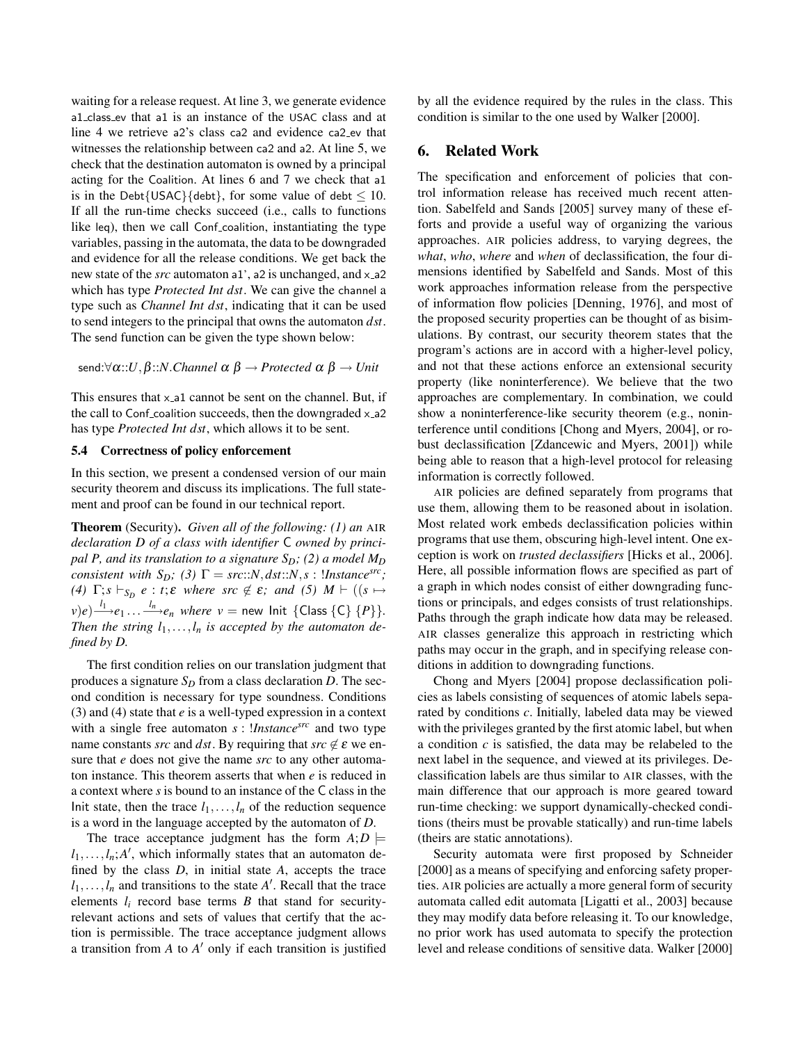waiting for a release request. At line 3, we generate evidence a1 class ev that a1 is an instance of the USAC class and at line 4 we retrieve a2's class ca2 and evidence ca2 ev that witnesses the relationship between ca2 and a2. At line 5, we check that the destination automaton is owned by a principal acting for the Coalition. At lines 6 and 7 we check that a1 is in the Debt{USAC}{debt}, for some value of debt  $\leq 10$ . If all the run-time checks succeed (i.e., calls to functions like leq), then we call Conf-coalition, instantiating the type variables, passing in the automata, the data to be downgraded and evidence for all the release conditions. We get back the new state of the *src* automaton a1', a2 is unchanged, and x\_a2 which has type *Protected Int dst*. We can give the channel a type such as *Channel Int dst*, indicating that it can be used to send integers to the principal that owns the automaton *dst*. The send function can be given the type shown below:

send:∀α::*U*,β::*N*.*Channel* α β → *Protected* α β → *Unit*

This ensures that  $x$ -a1 cannot be sent on the channel. But, if the call to Conf-coalition succeeds, then the downgraded  $x$ -a2 has type *Protected Int dst*, which allows it to be sent.

#### 5.4 Correctness of policy enforcement

In this section, we present a condensed version of our main security theorem and discuss its implications. The full statement and proof can be found in our technical report.

Theorem (Security). *Given all of the following: (1) an* AIR *declaration D of a class with identifier* C *owned by principal P, and its translation to a signature SD; (2) a model M<sup>D</sup> consistent with*  $S_D$ *;* (3)  $\Gamma = src::N, dst::N, s$  : !*Instance*<sup>grc</sup>*; (4)*  $\Gamma$ ;  $s \vdash_{S_D} e : t$ ;  $\varepsilon$  *where src*  $\notin \varepsilon$ ; *and* (5)  $M \vdash ((s \mapsto$  $v$ ) $e)$  $\stackrel{l_1}{\longrightarrow}$  $e_1$ ...  $\stackrel{l_n}{\longrightarrow}$  $e_n$  *where v* = new Init {Class {C} {*P*}}. *Then the string*  $l_1, \ldots, l_n$  *is accepted by the automaton defined by D.*

The first condition relies on our translation judgment that produces a signature  $S_D$  from a class declaration *D*. The second condition is necessary for type soundness. Conditions (3) and (4) state that *e* is a well-typed expression in a context with a single free automaton *s* : !*Instancesrc* and two type name constants *src* and *dst*. By requiring that  $src \notin \varepsilon$  we ensure that *e* does not give the name *src* to any other automaton instance. This theorem asserts that when *e* is reduced in a context where *s* is bound to an instance of the C class in the Init state, then the trace  $l_1, \ldots, l_n$  of the reduction sequence is a word in the language accepted by the automaton of *D*.

The trace acceptance judgment has the form  $A; D \models$  $l_1, \ldots, l_n$ ; *A'*, which informally states that an automaton defined by the class *D*, in initial state *A*, accepts the trace  $l_1, \ldots, l_n$  and transitions to the state *A*<sup> $\prime$ </sup>. Recall that the trace elements  $l_i$  record base terms  $B$  that stand for securityrelevant actions and sets of values that certify that the action is permissible. The trace acceptance judgment allows a transition from *A* to *A* <sup>0</sup> only if each transition is justified

by all the evidence required by the rules in the class. This condition is similar to the one used by Walker [2000].

# 6. Related Work

The specification and enforcement of policies that control information release has received much recent attention. Sabelfeld and Sands [2005] survey many of these efforts and provide a useful way of organizing the various approaches. AIR policies address, to varying degrees, the *what*, *who*, *where* and *when* of declassification, the four dimensions identified by Sabelfeld and Sands. Most of this work approaches information release from the perspective of information flow policies [Denning, 1976], and most of the proposed security properties can be thought of as bisimulations. By contrast, our security theorem states that the program's actions are in accord with a higher-level policy, and not that these actions enforce an extensional security property (like noninterference). We believe that the two approaches are complementary. In combination, we could show a noninterference-like security theorem (e.g., noninterference until conditions [Chong and Myers, 2004], or robust declassification [Zdancewic and Myers, 2001]) while being able to reason that a high-level protocol for releasing information is correctly followed.

AIR policies are defined separately from programs that use them, allowing them to be reasoned about in isolation. Most related work embeds declassification policies within programs that use them, obscuring high-level intent. One exception is work on *trusted declassifiers* [Hicks et al., 2006]. Here, all possible information flows are specified as part of a graph in which nodes consist of either downgrading functions or principals, and edges consists of trust relationships. Paths through the graph indicate how data may be released. AIR classes generalize this approach in restricting which paths may occur in the graph, and in specifying release conditions in addition to downgrading functions.

Chong and Myers [2004] propose declassification policies as labels consisting of sequences of atomic labels separated by conditions *c*. Initially, labeled data may be viewed with the privileges granted by the first atomic label, but when a condition *c* is satisfied, the data may be relabeled to the next label in the sequence, and viewed at its privileges. Declassification labels are thus similar to AIR classes, with the main difference that our approach is more geared toward run-time checking: we support dynamically-checked conditions (theirs must be provable statically) and run-time labels (theirs are static annotations).

Security automata were first proposed by Schneider [2000] as a means of specifying and enforcing safety properties. AIR policies are actually a more general form of security automata called edit automata [Ligatti et al., 2003] because they may modify data before releasing it. To our knowledge, no prior work has used automata to specify the protection level and release conditions of sensitive data. Walker [2000]